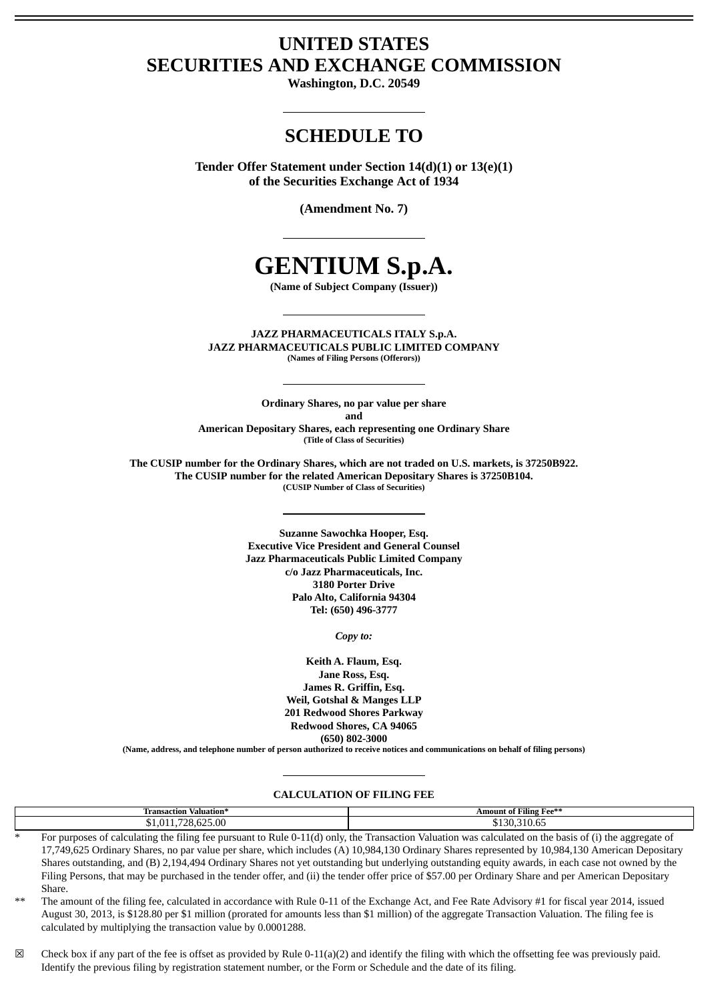# **UNITED STATES SECURITIES AND EXCHANGE COMMISSION**

**Washington, D.C. 20549**

# **SCHEDULE TO**

**Tender Offer Statement under Section 14(d)(1) or 13(e)(1) of the Securities Exchange Act of 1934**

**(Amendment No. 7)**

# **GENTIUM S.p.A.**

**(Name of Subject Company (Issuer))**

**JAZZ PHARMACEUTICALS ITALY S.p.A. JAZZ PHARMACEUTICALS PUBLIC LIMITED COMPANY (Names of Filing Persons (Offerors))**

**Ordinary Shares, no par value per share and American Depositary Shares, each representing one Ordinary Share (Title of Class of Securities)**

**The CUSIP number for the Ordinary Shares, which are not traded on U.S. markets, is 37250B922. The CUSIP number for the related American Depositary Shares is 37250B104. (CUSIP Number of Class of Securities)**

> **Suzanne Sawochka Hooper, Esq. Executive Vice President and General Counsel Jazz Pharmaceuticals Public Limited Company c/o Jazz Pharmaceuticals, Inc. 3180 Porter Drive Palo Alto, California 94304 Tel: (650) 496-3777**

> > *Copy to:*

**Keith A. Flaum, Esq. Jane Ross, Esq. James R. Griffin, Esq. Weil, Gotshal & Manges LLP 201 Redwood Shores Parkway Redwood Shores, CA 94065 (650) 802-3000**

(Name, address, and telephone number of person authorized to receive notices and communications on behalf of filing persons)

#### **CALCULATION OF FILING FEE**

| Fransaction Valuation* | <b>Amount of Filing Fee**</b>                                                                                                                           |
|------------------------|---------------------------------------------------------------------------------------------------------------------------------------------------------|
| .728.625.00            | \$130.310.65                                                                                                                                            |
|                        | For purposes of calculating the filing fee pursuant to Rule 0-11(d) only, the Transaction Valuation was calculated on the basis of (i) the aggregate of |

17,749,625 Ordinary Shares, no par value per share, which includes (A) 10,984,130 Ordinary Shares represented by 10,984,130 American Depositary Shares outstanding, and (B) 2,194,494 Ordinary Shares not yet outstanding but underlying outstanding equity awards, in each case not owned by the Filing Persons, that may be purchased in the tender offer, and (ii) the tender offer price of \$57.00 per Ordinary Share and per American Depositary Share.

The amount of the filing fee, calculated in accordance with Rule 0-11 of the Exchange Act, and Fee Rate Advisory #1 for fiscal year 2014, issued August 30, 2013, is \$128.80 per \$1 million (prorated for amounts less than \$1 million) of the aggregate Transaction Valuation. The filing fee is calculated by multiplying the transaction value by 0.0001288.

 $\boxtimes$  Check box if any part of the fee is offset as provided by Rule 0-11(a)(2) and identify the filing with which the offsetting fee was previously paid. Identify the previous filing by registration statement number, or the Form or Schedule and the date of its filing.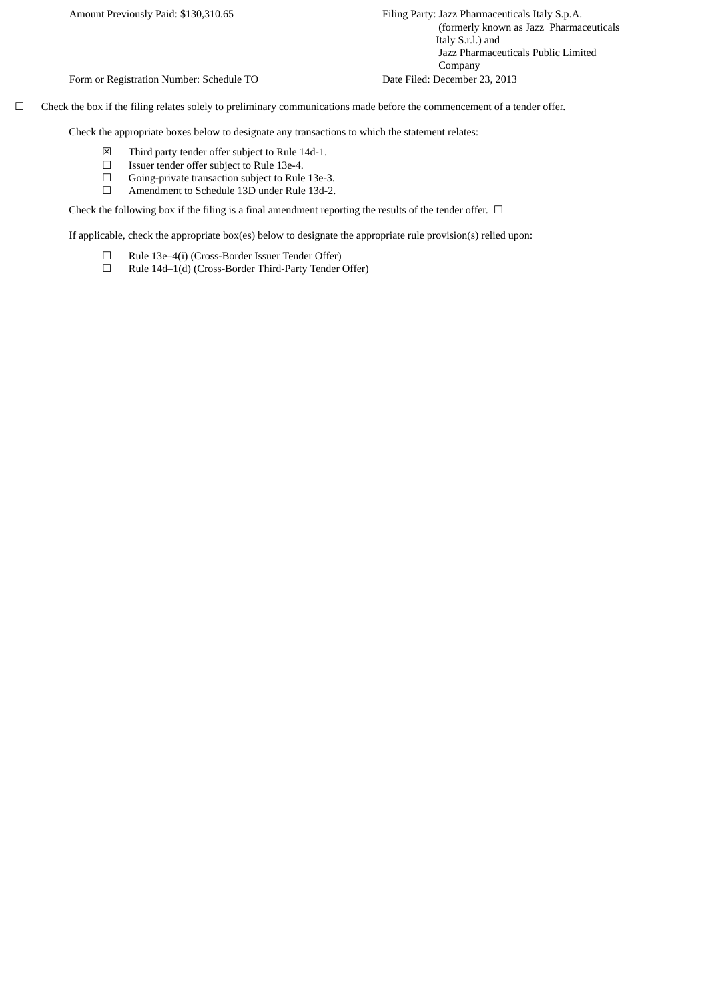Form or Registration Number: Schedule TO Date Filed: December 23, 2013

 $\Box$  Check the box if the filing relates solely to preliminary communications made before the commencement of a tender offer.

Check the appropriate boxes below to designate any transactions to which the statement relates:

- $\boxtimes$  Third party tender offer subject to Rule 14d-1.<br>
Issuer tender offer subject to Rule 13e-4.
- Issuer tender offer subject to Rule 13e-4.
- $\Box$  Going-private transaction subject to Rule 13e-3.<br> $\Box$  Amendment to Schedule 13D under Rule 13d-2.
- Amendment to Schedule 13D under Rule 13d-2.

Check the following box if the filing is a final amendment reporting the results of the tender offer.  $\Box$ 

If applicable, check the appropriate box(es) below to designate the appropriate rule provision(s) relied upon:

- ☐ Rule 13e–4(i) (Cross-Border Issuer Tender Offer)
- ☐ Rule 14d–1(d) (Cross-Border Third-Party Tender Offer)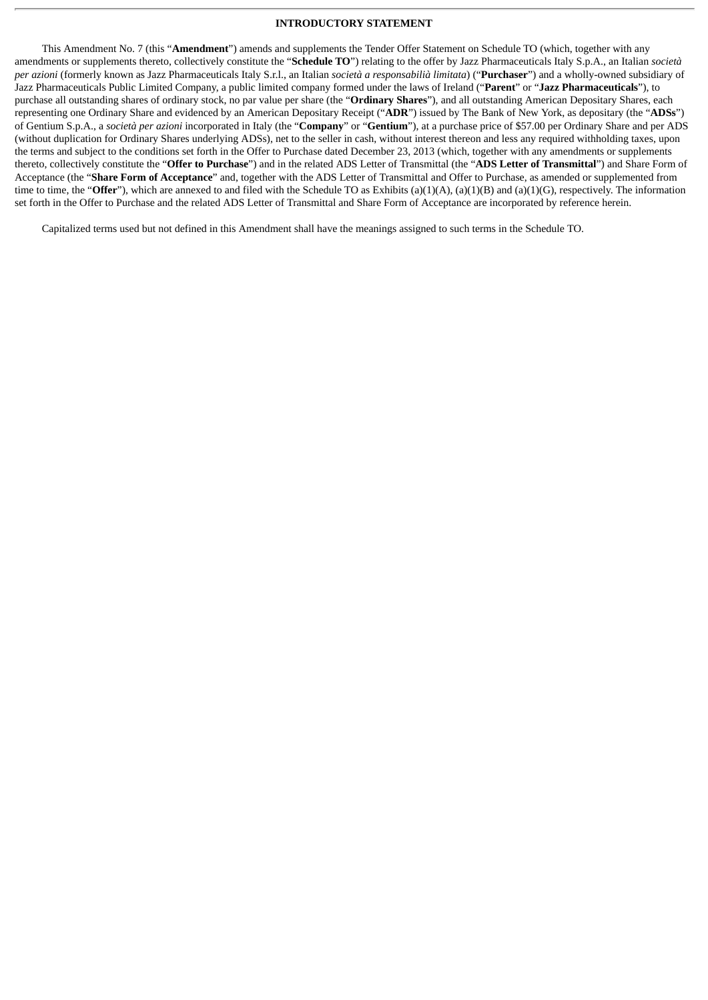#### **INTRODUCTORY STATEMENT**

This Amendment No. 7 (this "**Amendment**") amends and supplements the Tender Offer Statement on Schedule TO (which, together with any amendments or supplements thereto, collectively constitute the "**Schedule TO**") relating to the offer by Jazz Pharmaceuticals Italy S.p.A., an Italian *società per azioni* (formerly known as Jazz Pharmaceuticals Italy S.r.l., an Italian *società a responsabilià limitata*) ("**Purchaser**") and a wholly-owned subsidiary of Jazz Pharmaceuticals Public Limited Company, a public limited company formed under the laws of Ireland ("**Parent**" or "**Jazz Pharmaceuticals**"), to purchase all outstanding shares of ordinary stock, no par value per share (the "**Ordinary Shares**"), and all outstanding American Depositary Shares, each representing one Ordinary Share and evidenced by an American Depositary Receipt ("**ADR**") issued by The Bank of New York, as depositary (the "**ADSs**") of Gentium S.p.A., a *società per azioni* incorporated in Italy (the "**Company**" or "**Gentium**"), at a purchase price of \$57.00 per Ordinary Share and per ADS (without duplication for Ordinary Shares underlying ADSs), net to the seller in cash, without interest thereon and less any required withholding taxes, upon the terms and subject to the conditions set forth in the Offer to Purchase dated December 23, 2013 (which, together with any amendments or supplements thereto, collectively constitute the "**Offer to Purchase**") and in the related ADS Letter of Transmittal (the "**ADS Letter of Transmittal**") and Share Form of Acceptance (the "**Share Form of Acceptance**" and, together with the ADS Letter of Transmittal and Offer to Purchase, as amended or supplemented from time to time, the "**Offer**"), which are annexed to and filed with the Schedule TO as Exhibits (a)(1)(A), (a)(1)(B) and (a)(1)(G), respectively. The information set forth in the Offer to Purchase and the related ADS Letter of Transmittal and Share Form of Acceptance are incorporated by reference herein.

Capitalized terms used but not defined in this Amendment shall have the meanings assigned to such terms in the Schedule TO.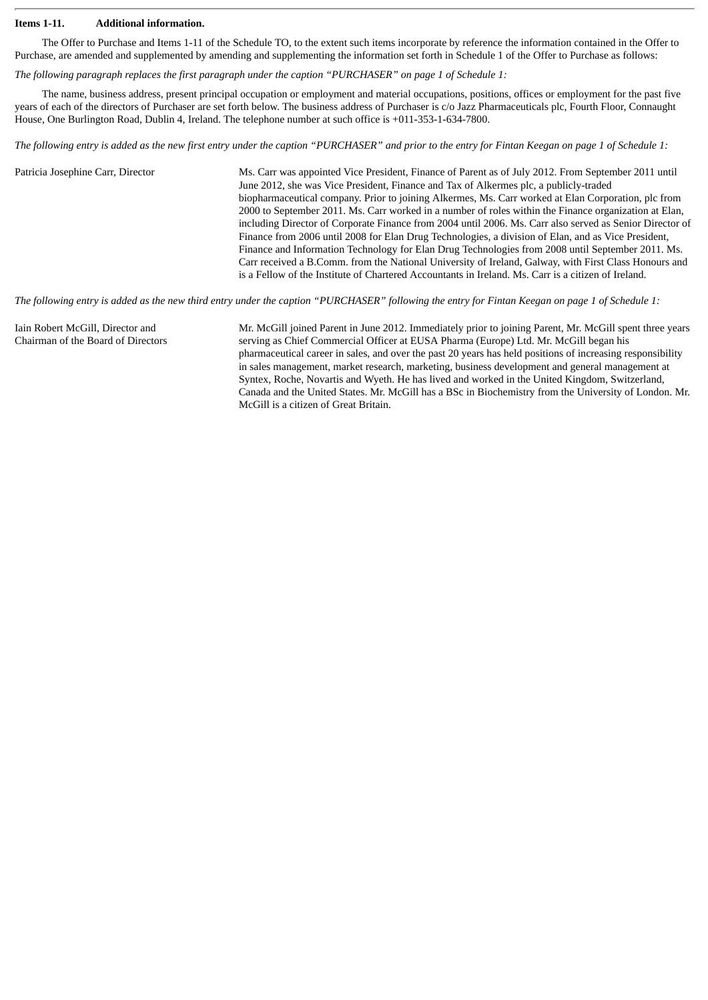#### **Items 1-11. Additional information.**

The Offer to Purchase and Items 1-11 of the Schedule TO, to the extent such items incorporate by reference the information contained in the Offer to Purchase, are amended and supplemented by amending and supplementing the information set forth in Schedule 1 of the Offer to Purchase as follows:

The following paragraph replaces the first paragraph under the caption "PURCHASER" on page 1 of Schedule 1:

The name, business address, present principal occupation or employment and material occupations, positions, offices or employment for the past five years of each of the directors of Purchaser are set forth below. The business address of Purchaser is c/o Jazz Pharmaceuticals plc, Fourth Floor, Connaught House, One Burlington Road, Dublin 4, Ireland. The telephone number at such office is +011-353-1-634-7800.

The following entry is added as the new first entry under the caption "PURCHASER" and prior to the entry for Fintan Keegan on page 1 of Schedule 1:

Patricia Josephine Carr, Director Ms. Carr was appointed Vice President, Finance of Parent as of July 2012. From September 2011 until June 2012, she was Vice President, Finance and Tax of Alkermes plc, a publicly-traded biopharmaceutical company. Prior to joining Alkermes, Ms. Carr worked at Elan Corporation, plc from 2000 to September 2011. Ms. Carr worked in a number of roles within the Finance organization at Elan, including Director of Corporate Finance from 2004 until 2006. Ms. Carr also served as Senior Director of Finance from 2006 until 2008 for Elan Drug Technologies, a division of Elan, and as Vice President, Finance and Information Technology for Elan Drug Technologies from 2008 until September 2011. Ms. Carr received a B.Comm. from the National University of Ireland, Galway, with First Class Honours and is a Fellow of the Institute of Chartered Accountants in Ireland. Ms. Carr is a citizen of Ireland.

The following entry is added as the new third entry under the caption "PURCHASER" following the entry for Fintan Keegan on page 1 of Schedule 1:

Iain Robert McGill, Director and Chairman of the Board of Directors Mr. McGill joined Parent in June 2012. Immediately prior to joining Parent, Mr. McGill spent three years serving as Chief Commercial Officer at EUSA Pharma (Europe) Ltd. Mr. McGill began his pharmaceutical career in sales, and over the past 20 years has held positions of increasing responsibility in sales management, market research, marketing, business development and general management at Syntex, Roche, Novartis and Wyeth. He has lived and worked in the United Kingdom, Switzerland, Canada and the United States. Mr. McGill has a BSc in Biochemistry from the University of London. Mr. McGill is a citizen of Great Britain.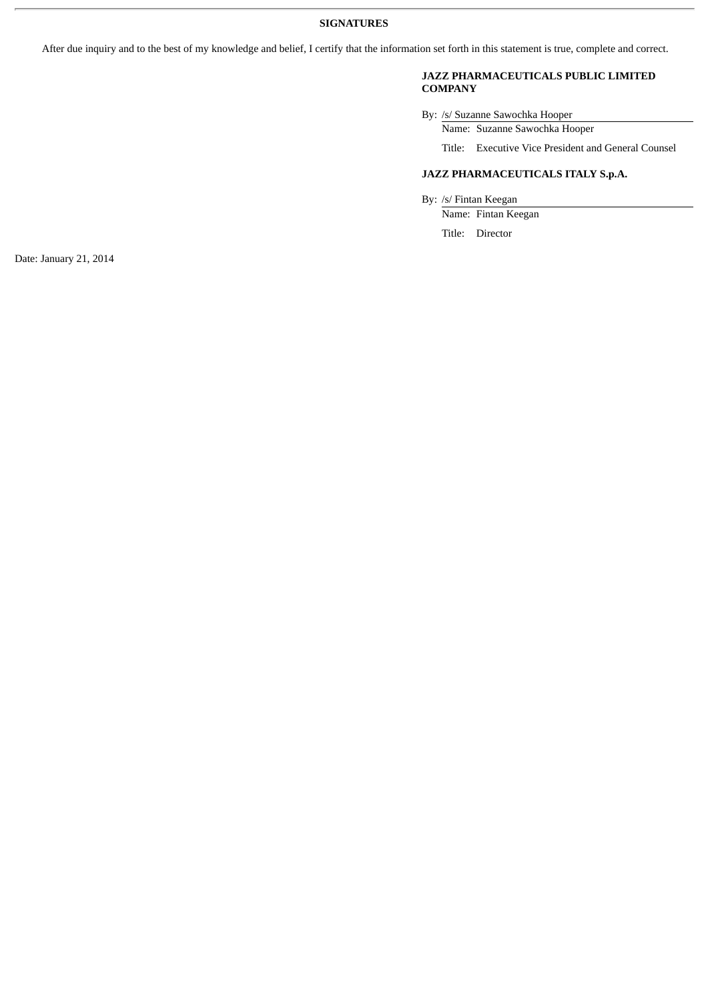## **SIGNATURES**

After due inquiry and to the best of my knowledge and belief, I certify that the information set forth in this statement is true, complete and correct.

### **JAZZ PHARMACEUTICALS PUBLIC LIMITED COMPANY**

By: /s/ Suzanne Sawochka Hooper

Name: Suzanne Sawochka Hooper

Title: Executive Vice President and General Counsel

## **JAZZ PHARMACEUTICALS ITALY S.p.A.**

By: /s/ Fintan Keegan

Name: Fintan Keegan

Title: Director

Date: January 21, 2014